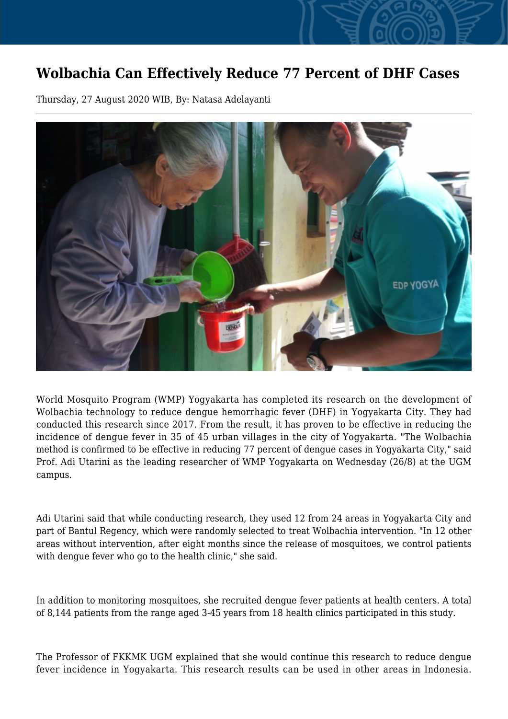## **Wolbachia Can Effectively Reduce 77 Percent of DHF Cases**

Thursday, 27 August 2020 WIB, By: Natasa Adelayanti



World Mosquito Program (WMP) Yogyakarta has completed its research on the development of Wolbachia technology to reduce dengue hemorrhagic fever (DHF) in Yogyakarta City. They had conducted this research since 2017. From the result, it has proven to be effective in reducing the incidence of dengue fever in 35 of 45 urban villages in the city of Yogyakarta. "The Wolbachia method is confirmed to be effective in reducing 77 percent of dengue cases in Yogyakarta City," said Prof. Adi Utarini as the leading researcher of WMP Yogyakarta on Wednesday (26/8) at the UGM campus.

Adi Utarini said that while conducting research, they used 12 from 24 areas in Yogyakarta City and part of Bantul Regency, which were randomly selected to treat Wolbachia intervention. "In 12 other areas without intervention, after eight months since the release of mosquitoes, we control patients with dengue fever who go to the health clinic," she said.

In addition to monitoring mosquitoes, she recruited dengue fever patients at health centers. A total of 8,144 patients from the range aged 3-45 years from 18 health clinics participated in this study.

The Professor of FKKMK UGM explained that she would continue this research to reduce dengue fever incidence in Yogyakarta. This research results can be used in other areas in Indonesia.